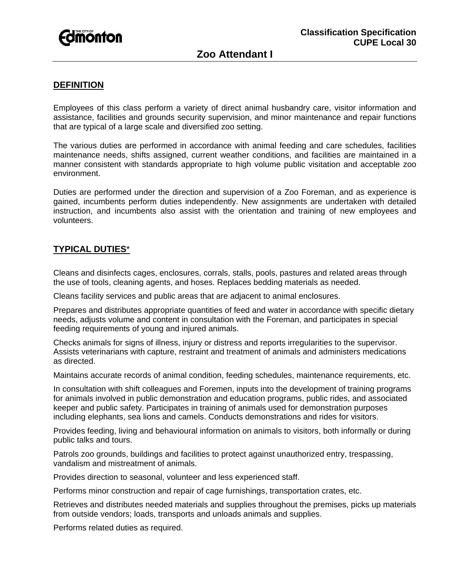

# **DEFINITION**

Employees of this class perform a variety of direct animal husbandry care, visitor information and assistance, facilities and grounds security supervision, and minor maintenance and repair functions that are typical of a large scale and diversified zoo setting.

The various duties are performed in accordance with animal feeding and care schedules, facilities maintenance needs, shifts assigned, current weather conditions, and facilities are maintained in a manner consistent with standards appropriate to high volume public visitation and acceptable zoo environment.

Duties are performed under the direction and supervision of a Zoo Foreman, and as experience is gained, incumbents perform duties independently. New assignments are undertaken with detailed instruction, and incumbents also assist with the orientation and training of new employees and volunteers.

# **TYPICAL DUTIES**\*

Cleans and disinfects cages, enclosures, corrals, stalls, pools, pastures and related areas through the use of tools, cleaning agents, and hoses. Replaces bedding materials as needed.

Cleans facility services and public areas that are adjacent to animal enclosures.

Prepares and distributes appropriate quantities of feed and water in accordance with specific dietary needs, adjusts volume and content in consultation with the Foreman, and participates in special feeding requirements of young and injured animals.

Checks animals for signs of illness, injury or distress and reports irregularities to the supervisor. Assists veterinarians with capture, restraint and treatment of animals and administers medications as directed.

Maintains accurate records of animal condition, feeding schedules, maintenance requirements, etc.

In consultation with shift colleagues and Foremen, inputs into the development of training programs for animals involved in public demonstration and education programs, public rides, and associated keeper and public safety. Participates in training of animals used for demonstration purposes including elephants, sea lions and camels. Conducts demonstrations and rides for visitors.

Provides feeding, living and behavioural information on animals to visitors, both informally or during public talks and tours.

Patrols zoo grounds, buildings and facilities to protect against unauthorized entry, trespassing, vandalism and mistreatment of animals.

Provides direction to seasonal, volunteer and less experienced staff.

Performs minor construction and repair of cage furnishings, transportation crates, etc.

Retrieves and distributes needed materials and supplies throughout the premises, picks up materials from outside vendors; loads, transports and unloads animals and supplies.

Performs related duties as required.